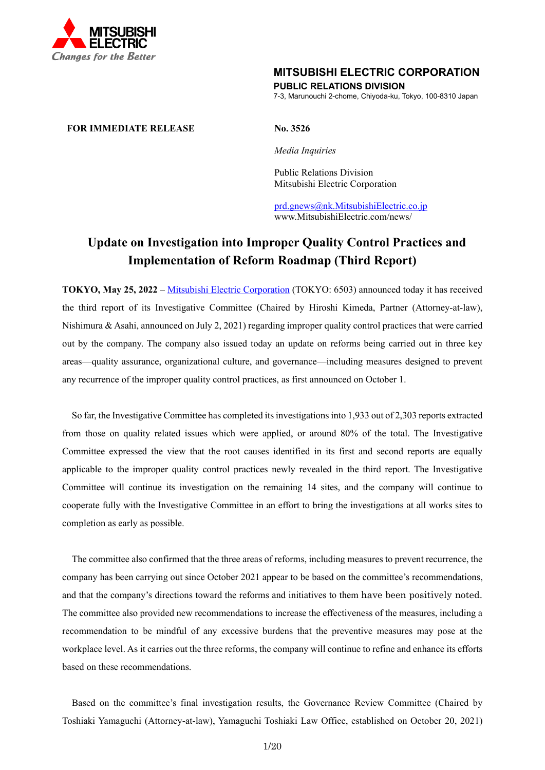

## **MITSUBISHI ELECTRIC CORPORATION**

**PUBLIC RELATIONS DIVISION** 

7-3, Marunouchi 2-chome, Chiyoda-ku, Tokyo, 100-8310 Japan

## **FOR IMMEDIATE RELEASE No. 3526**

*Media Inquiries* 

 Public Relations Division Mitsubishi Electric Corporation

prd.gnews@nk.MitsubishiElectric.co.jp www.MitsubishiElectric.com/news/

# **Update on Investigation into Improper Quality Control Practices and Implementation of Reform Roadmap (Third Report)**

**TOKYO, May 25, 2022** – Mitsubishi Electric Corporation (TOKYO: 6503) announced today it has received the third report of its Investigative Committee (Chaired by Hiroshi Kimeda, Partner (Attorney-at-law), Nishimura & Asahi, announced on July 2, 2021) regarding improper quality control practices that were carried out by the company. The company also issued today an update on reforms being carried out in three key areas—quality assurance, organizational culture, and governance—including measures designed to prevent any recurrence of the improper quality control practices, as first announced on October 1.

So far, the Investigative Committee has completed its investigations into 1,933 out of 2,303 reports extracted from those on quality related issues which were applied, or around 80% of the total. The Investigative Committee expressed the view that the root causes identified in its first and second reports are equally applicable to the improper quality control practices newly revealed in the third report. The Investigative Committee will continue its investigation on the remaining 14 sites, and the company will continue to cooperate fully with the Investigative Committee in an effort to bring the investigations at all works sites to completion as early as possible.

The committee also confirmed that the three areas of reforms, including measures to prevent recurrence, the company has been carrying out since October 2021 appear to be based on the committee's recommendations, and that the company's directions toward the reforms and initiatives to them have been positively noted. The committee also provided new recommendations to increase the effectiveness of the measures, including a recommendation to be mindful of any excessive burdens that the preventive measures may pose at the workplace level. As it carries out the three reforms, the company will continue to refine and enhance its efforts based on these recommendations.

Based on the committee's final investigation results, the Governance Review Committee (Chaired by Toshiaki Yamaguchi (Attorney-at-law), Yamaguchi Toshiaki Law Office, established on October 20, 2021)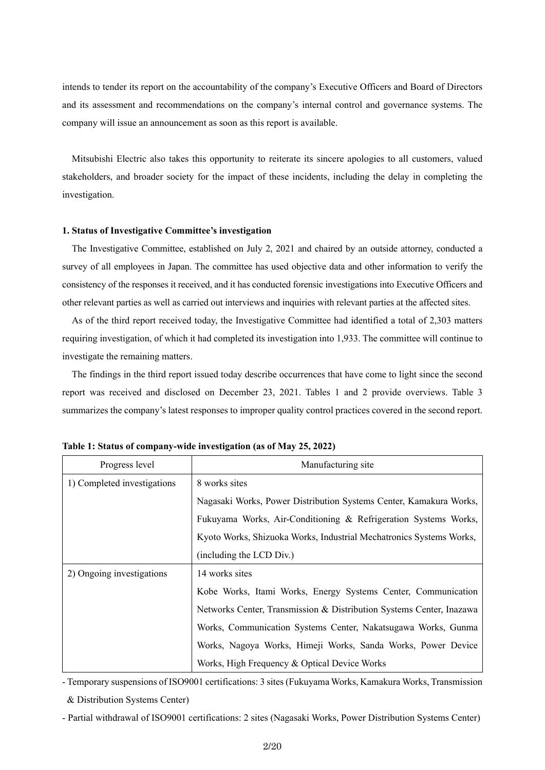intends to tender its report on the accountability of the company's Executive Officers and Board of Directors and its assessment and recommendations on the company's internal control and governance systems. The company will issue an announcement as soon as this report is available.

Mitsubishi Electric also takes this opportunity to reiterate its sincere apologies to all customers, valued stakeholders, and broader society for the impact of these incidents, including the delay in completing the investigation.

#### **1. Status of Investigative Committee's investigation**

The Investigative Committee, established on July 2, 2021 and chaired by an outside attorney, conducted a survey of all employees in Japan. The committee has used objective data and other information to verify the consistency of the responses it received, and it has conducted forensic investigations into Executive Officers and other relevant parties as well as carried out interviews and inquiries with relevant parties at the affected sites.

As of the third report received today, the Investigative Committee had identified a total of 2,303 matters requiring investigation, of which it had completed its investigation into 1,933. The committee will continue to investigate the remaining matters.

The findings in the third report issued today describe occurrences that have come to light since the second report was received and disclosed on December 23, 2021. Tables 1 and 2 provide overviews. Table 3 summarizes the company's latest responses to improper quality control practices covered in the second report.

| Progress level              | Manufacturing site                                                   |  |
|-----------------------------|----------------------------------------------------------------------|--|
| 1) Completed investigations | 8 works sites                                                        |  |
|                             | Nagasaki Works, Power Distribution Systems Center, Kamakura Works,   |  |
|                             | Fukuyama Works, Air-Conditioning & Refrigeration Systems Works,      |  |
|                             | Kyoto Works, Shizuoka Works, Industrial Mechatronics Systems Works,  |  |
|                             | (including the LCD Div.)                                             |  |
| 2) Ongoing investigations   | 14 works sites                                                       |  |
|                             | Kobe Works, Itami Works, Energy Systems Center, Communication        |  |
|                             | Networks Center, Transmission & Distribution Systems Center, Inazawa |  |
|                             | Works, Communication Systems Center, Nakatsugawa Works, Gunma        |  |
|                             | Works, Nagoya Works, Himeji Works, Sanda Works, Power Device         |  |
|                             | Works, High Frequency & Optical Device Works                         |  |

**Table 1: Status of company-wide investigation (as of May 25, 2022)** 

- Temporary suspensions of ISO9001 certifications: 3 sites (Fukuyama Works, Kamakura Works, Transmission

& Distribution Systems Center)

- Partial withdrawal of ISO9001 certifications: 2 sites (Nagasaki Works, Power Distribution Systems Center)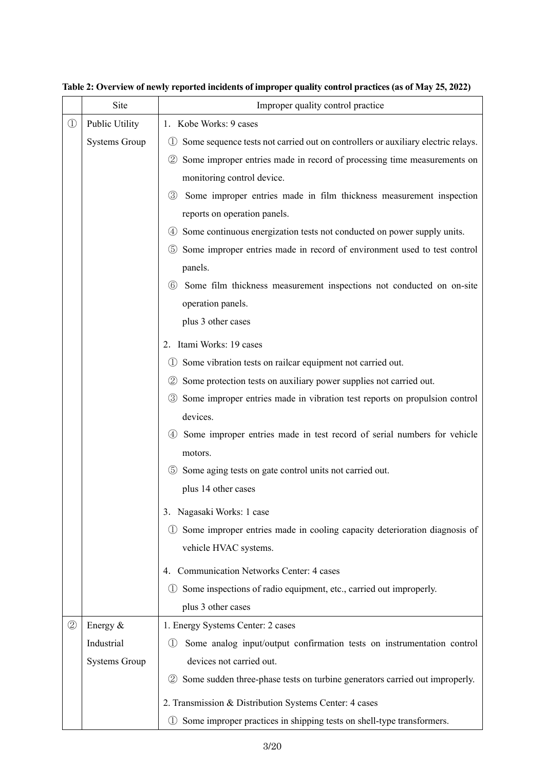|                   | Site                 | Improper quality control practice                                                                    |  |
|-------------------|----------------------|------------------------------------------------------------------------------------------------------|--|
| $\textcircled{1}$ | Public Utility       | 1. Kobe Works: 9 cases                                                                               |  |
|                   | <b>Systems Group</b> | Some sequence tests not carried out on controllers or auxiliary electric relays.<br>$\left(1\right)$ |  |
|                   |                      | 2 Some improper entries made in record of processing time measurements on                            |  |
|                   |                      | monitoring control device.                                                                           |  |
|                   |                      | Some improper entries made in film thickness measurement inspection<br>(3)                           |  |
|                   |                      | reports on operation panels.                                                                         |  |
|                   |                      | 4) Some continuous energization tests not conducted on power supply units.                           |  |
|                   |                      | Some improper entries made in record of environment used to test control<br>(5)                      |  |
|                   |                      | panels.                                                                                              |  |
|                   |                      | Some film thickness measurement inspections not conducted on on-site<br>(6)                          |  |
|                   |                      | operation panels.                                                                                    |  |
|                   |                      | plus 3 other cases                                                                                   |  |
|                   |                      | 2. Itami Works: 19 cases                                                                             |  |
|                   |                      | Some vibration tests on railcar equipment not carried out.<br>$\left(1\right)$                       |  |
|                   |                      | Some protection tests on auxiliary power supplies not carried out.<br>(2)                            |  |
|                   |                      | Some improper entries made in vibration test reports on propulsion control<br>(3)                    |  |
|                   |                      | devices.                                                                                             |  |
|                   |                      | 4 Some improper entries made in test record of serial numbers for vehicle                            |  |
|                   |                      | motors.                                                                                              |  |
|                   |                      | Some aging tests on gate control units not carried out.<br>(5)                                       |  |
|                   |                      | plus 14 other cases                                                                                  |  |
|                   |                      | 3. Nagasaki Works: 1 case                                                                            |  |
|                   |                      | Some improper entries made in cooling capacity deterioration diagnosis of<br>$\left(1\right)$        |  |
|                   |                      | vehicle HVAC systems.                                                                                |  |
|                   |                      | <b>Communication Networks Center: 4 cases</b><br>4.                                                  |  |
|                   |                      | Some inspections of radio equipment, etc., carried out improperly.<br>(1)                            |  |
|                   |                      | plus 3 other cases                                                                                   |  |
| $^{\circledR}$    | Energy &             | 1. Energy Systems Center: 2 cases                                                                    |  |
|                   | Industrial           | Some analog input/output confirmation tests on instrumentation control<br>(1)                        |  |
|                   | <b>Systems Group</b> | devices not carried out.                                                                             |  |
|                   |                      | 2 Some sudden three-phase tests on turbine generators carried out improperly.                        |  |
|                   |                      | 2. Transmission & Distribution Systems Center: 4 cases                                               |  |
|                   |                      | Some improper practices in shipping tests on shell-type transformers.<br>(1)                         |  |

**Table 2: Overview of newly reported incidents of improper quality control practices (as of May 25, 2022)**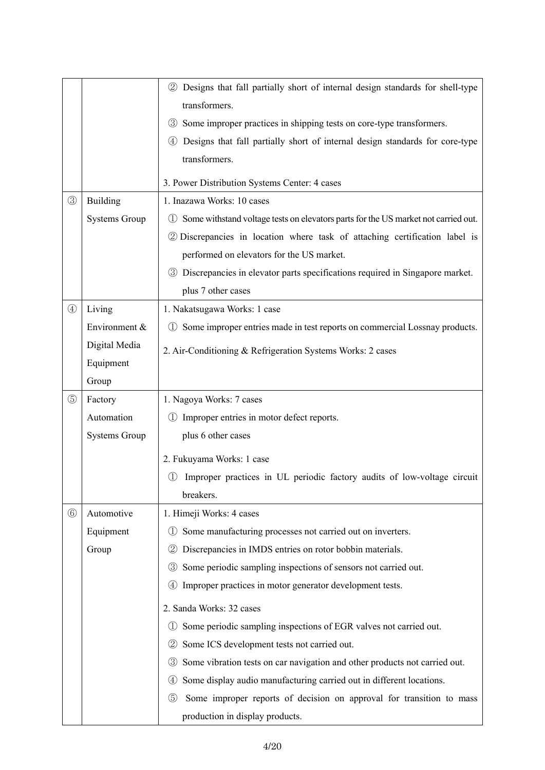|                |                      | 2 Designs that fall partially short of internal design standards for shell-type                                    |  |  |
|----------------|----------------------|--------------------------------------------------------------------------------------------------------------------|--|--|
|                |                      | transformers.                                                                                                      |  |  |
|                |                      | 3 Some improper practices in shipping tests on core-type transformers.                                             |  |  |
|                |                      | Designs that fall partially short of internal design standards for core-type<br>(4)                                |  |  |
|                |                      | transformers.                                                                                                      |  |  |
|                |                      | 3. Power Distribution Systems Center: 4 cases                                                                      |  |  |
| $\circledS$    | <b>Building</b>      | 1. Inazawa Works: 10 cases                                                                                         |  |  |
|                | <b>Systems Group</b> | Some withstand voltage tests on elevators parts for the US market not carried out.<br>$\left( \frac{1}{2} \right)$ |  |  |
|                |                      | 2 Discrepancies in location where task of attaching certification label is                                         |  |  |
|                |                      | performed on elevators for the US market.                                                                          |  |  |
|                |                      | 3 Discrepancies in elevator parts specifications required in Singapore market.                                     |  |  |
|                |                      | plus 7 other cases                                                                                                 |  |  |
| $^{\circledR}$ | Living               | 1. Nakatsugawa Works: 1 case                                                                                       |  |  |
|                | Environment &        | Some improper entries made in test reports on commercial Lossnay products.<br>(1)                                  |  |  |
|                | Digital Media        | 2. Air-Conditioning & Refrigeration Systems Works: 2 cases                                                         |  |  |
|                | Equipment            |                                                                                                                    |  |  |
|                | Group                |                                                                                                                    |  |  |
| $\circledS$    | Factory              | 1. Nagoya Works: 7 cases                                                                                           |  |  |
|                | Automation           | 1) Improper entries in motor defect reports.                                                                       |  |  |
|                | <b>Systems Group</b> | plus 6 other cases                                                                                                 |  |  |
|                |                      | 2. Fukuyama Works: 1 case                                                                                          |  |  |
|                |                      | Improper practices in UL periodic factory audits of low-voltage circuit                                            |  |  |
|                |                      | breakers.                                                                                                          |  |  |
| $^{\circledR}$ | Automotive           | 1. Himeji Works: 4 cases                                                                                           |  |  |
|                | Equipment            | Some manufacturing processes not carried out on inverters.<br>$\left(1\right)$                                     |  |  |
|                | Group                | Discrepancies in IMDS entries on rotor bobbin materials.<br>(2)                                                    |  |  |
|                |                      | Some periodic sampling inspections of sensors not carried out.<br>$\circled{3}$                                    |  |  |
|                |                      | Improper practices in motor generator development tests.<br>(4)                                                    |  |  |
|                |                      | 2. Sanda Works: 32 cases                                                                                           |  |  |
|                |                      | Some periodic sampling inspections of EGR valves not carried out.<br>$\left(1\right)$                              |  |  |
|                |                      | Some ICS development tests not carried out.<br>$\circled{2}$                                                       |  |  |
|                |                      | Some vibration tests on car navigation and other products not carried out.<br>$\circled{3}$                        |  |  |
|                |                      | Some display audio manufacturing carried out in different locations.<br>$\left( 4\right)$                          |  |  |
|                |                      | Some improper reports of decision on approval for transition to mass<br>(5)                                        |  |  |
|                |                      | production in display products.                                                                                    |  |  |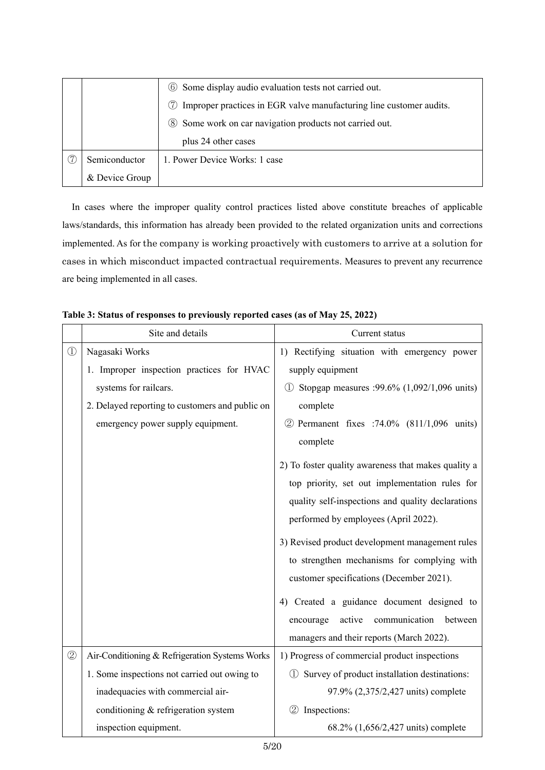|                                                         | 6 Some display audio evaluation tests not carried out.                     |
|---------------------------------------------------------|----------------------------------------------------------------------------|
|                                                         | Improper practices in EGR valve manufacturing line customer audits.<br>(7) |
| 8 Some work on car navigation products not carried out. |                                                                            |
|                                                         | plus 24 other cases                                                        |
| Semiconductor                                           | 1. Power Device Works: 1 case                                              |
| & Device Group                                          |                                                                            |

In cases where the improper quality control practices listed above constitute breaches of applicable laws/standards, this information has already been provided to the related organization units and corrections implemented. As for the company is working proactively with customers to arrive at a solution for cases in which misconduct impacted contractual requirements. Measures to prevent any recurrence are being implemented in all cases.

|             | Site and details                                | Current status                                      |
|-------------|-------------------------------------------------|-----------------------------------------------------|
| $\bigcirc$  | Nagasaki Works                                  | 1) Rectifying situation with emergency power        |
|             | 1. Improper inspection practices for HVAC       | supply equipment                                    |
|             | systems for railcars.                           | Stopgap measures :99.6% (1,092/1,096 units)         |
|             | 2. Delayed reporting to customers and public on | complete                                            |
|             | emergency power supply equipment.               | 2 Permanent fixes :74.0% (811/1,096 units)          |
|             |                                                 | complete                                            |
|             |                                                 | 2) To foster quality awareness that makes quality a |
|             |                                                 | top priority, set out implementation rules for      |
|             |                                                 | quality self-inspections and quality declarations   |
|             |                                                 | performed by employees (April 2022).                |
|             |                                                 | 3) Revised product development management rules     |
|             |                                                 | to strengthen mechanisms for complying with         |
|             |                                                 | customer specifications (December 2021).            |
|             |                                                 | 4) Created a guidance document designed to          |
|             |                                                 | communication<br>active<br>between<br>encourage     |
|             |                                                 | managers and their reports (March 2022).            |
| $\circledZ$ | Air-Conditioning & Refrigeration Systems Works  | 1) Progress of commercial product inspections       |
|             | 1. Some inspections not carried out owing to    | 1 Survey of product installation destinations:      |
|             | inadequacies with commercial air-               | 97.9% (2,375/2,427 units) complete                  |
|             | conditioning & refrigeration system             | $\circled{2}$<br>Inspections:                       |
|             | inspection equipment.                           | 68.2% (1,656/2,427 units) complete                  |

**Table 3: Status of responses to previously reported cases (as of May 25, 2022)**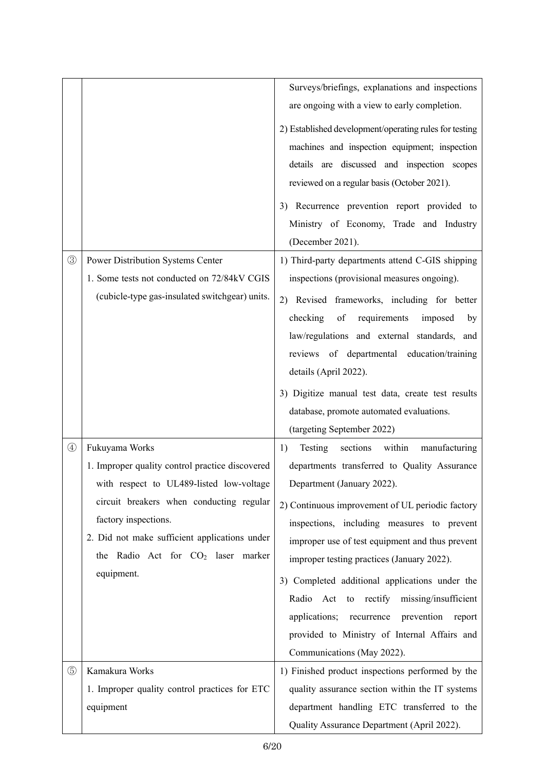|               |                                                 | Surveys/briefings, explanations and inspections                                          |
|---------------|-------------------------------------------------|------------------------------------------------------------------------------------------|
|               |                                                 | are ongoing with a view to early completion.                                             |
|               |                                                 | 2) Established development/operating rules for testing                                   |
|               |                                                 | machines and inspection equipment; inspection                                            |
|               |                                                 | details are discussed and inspection scopes                                              |
|               |                                                 | reviewed on a regular basis (October 2021).                                              |
|               |                                                 | 3) Recurrence prevention report provided to                                              |
|               |                                                 | Ministry of Economy, Trade and Industry                                                  |
|               |                                                 | (December 2021).                                                                         |
| $\circledS$   | Power Distribution Systems Center               | 1) Third-party departments attend C-GIS shipping                                         |
|               | 1. Some tests not conducted on 72/84kV CGIS     | inspections (provisional measures ongoing).                                              |
|               | (cubicle-type gas-insulated switchgear) units.  | Revised frameworks, including for better<br>2)                                           |
|               |                                                 | requirements<br>checking<br>of<br>imposed<br>by                                          |
|               |                                                 | law/regulations and external standards, and                                              |
|               |                                                 | reviews of departmental education/training                                               |
|               |                                                 | details (April 2022).                                                                    |
|               |                                                 | 3) Digitize manual test data, create test results                                        |
|               |                                                 | database, promote automated evaluations.                                                 |
|               |                                                 | (targeting September 2022)                                                               |
| $\circled{4}$ | Fukuyama Works                                  | sections<br>within<br>manufacturing<br>Testing<br>1)                                     |
|               | 1. Improper quality control practice discovered | departments transferred to Quality Assurance                                             |
|               | with respect to UL489-listed low-voltage        | Department (January 2022).                                                               |
|               | circuit breakers when conducting regular        | 2) Continuous improvement of UL periodic factory                                         |
|               | factory inspections.                            | inspections, including measures to prevent                                               |
|               | 2. Did not make sufficient applications under   | improper use of test equipment and thus prevent                                          |
|               | the Radio Act for CO <sub>2</sub> laser marker  | improper testing practices (January 2022).                                               |
|               | equipment.                                      | 3) Completed additional applications under the                                           |
|               |                                                 |                                                                                          |
|               |                                                 |                                                                                          |
|               |                                                 | Radio Act to rectify missing/insufficient                                                |
|               |                                                 | applications;<br>prevention<br>recurrence<br>report                                      |
|               |                                                 | provided to Ministry of Internal Affairs and                                             |
|               |                                                 | Communications (May 2022).                                                               |
| $\circledS$   | Kamakura Works                                  | 1) Finished product inspections performed by the                                         |
|               | 1. Improper quality control practices for ETC   | quality assurance section within the IT systems                                          |
|               | equipment                                       | department handling ETC transferred to the<br>Quality Assurance Department (April 2022). |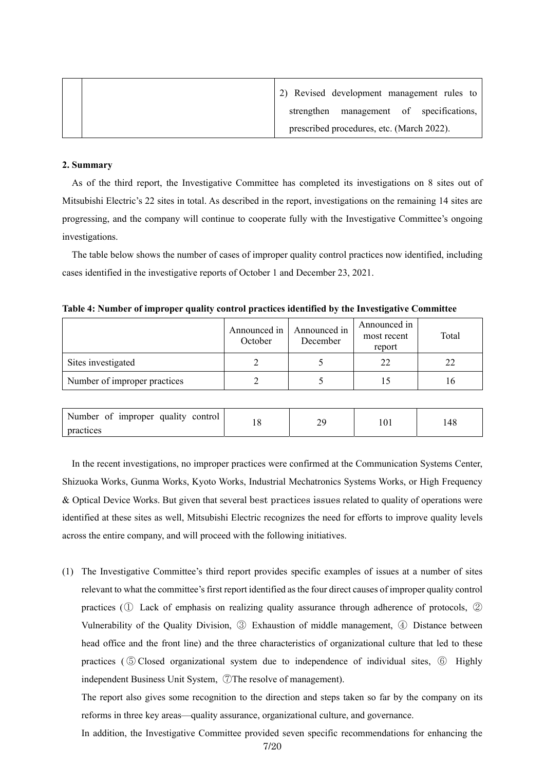|  | 2) Revised development management rules to |
|--|--------------------------------------------|
|  | strengthen management of specifications,   |
|  | prescribed procedures, etc. (March 2022).  |

## **2. Summary**

As of the third report, the Investigative Committee has completed its investigations on 8 sites out of Mitsubishi Electric's 22 sites in total. As described in the report, investigations on the remaining 14 sites are progressing, and the company will continue to cooperate fully with the Investigative Committee's ongoing investigations.

The table below shows the number of cases of improper quality control practices now identified, including cases identified in the investigative reports of October 1 and December 23, 2021.

| Table 4: Number of improper quality control practices identified by the Investigative Committee |  |  |  |  |
|-------------------------------------------------------------------------------------------------|--|--|--|--|
|-------------------------------------------------------------------------------------------------|--|--|--|--|

|                              | Announced in<br>October | Announced in<br>December | Announced in<br>most recent<br>report | Total |
|------------------------------|-------------------------|--------------------------|---------------------------------------|-------|
| Sites investigated           |                         |                          | 22                                    | 22    |
| Number of improper practices |                         |                          |                                       |       |

| Number of improper quality control |  | .4C |
|------------------------------------|--|-----|
| practices                          |  |     |

In the recent investigations, no improper practices were confirmed at the Communication Systems Center, Shizuoka Works, Gunma Works, Kyoto Works, Industrial Mechatronics Systems Works, or High Frequency & Optical Device Works. But given that several best practices issues related to quality of operations were identified at these sites as well, Mitsubishi Electric recognizes the need for efforts to improve quality levels across the entire company, and will proceed with the following initiatives.

(1) The Investigative Committee's third report provides specific examples of issues at a number of sites relevant to what the committee's first report identified as the four direct causes of improper quality control practices (① Lack of emphasis on realizing quality assurance through adherence of protocols, ② Vulnerability of the Quality Division, ③ Exhaustion of middle management, ④ Distance between head office and the front line) and the three characteristics of organizational culture that led to these practices ( ⑤ Closed organizational system due to independence of individual sites, ⑥ Highly independent Business Unit System, ⑦The resolve of management).

The report also gives some recognition to the direction and steps taken so far by the company on its reforms in three key areas—quality assurance, organizational culture, and governance.

In addition, the Investigative Committee provided seven specific recommendations for enhancing the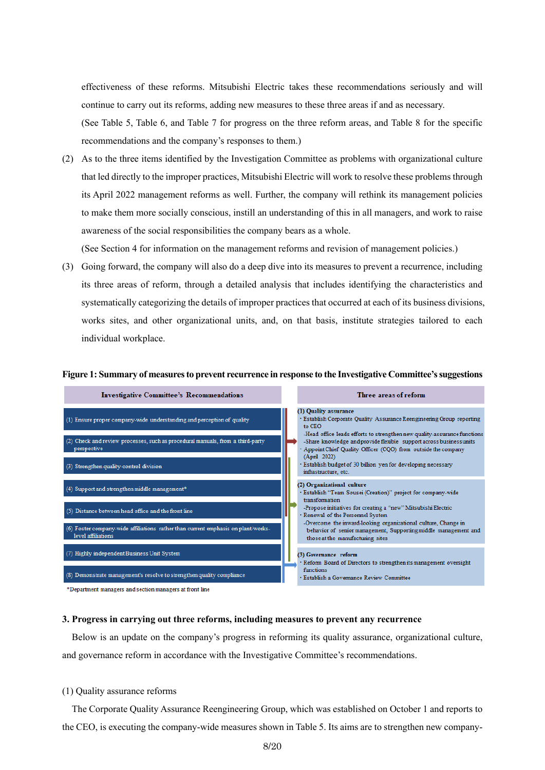effectiveness of these reforms. Mitsubishi Electric takes these recommendations seriously and will continue to carry out its reforms, adding new measures to these three areas if and as necessary.

(See Table 5, Table 6, and Table 7 for progress on the three reform areas, and Table 8 for the specific recommendations and the company's responses to them.)

(2) As to the three items identified by the Investigation Committee as problems with organizational culture that led directly to the improper practices, Mitsubishi Electric will work to resolve these problems through its April 2022 management reforms as well. Further, the company will rethink its management policies to make them more socially conscious, instill an understanding of this in all managers, and work to raise awareness of the social responsibilities the company bears as a whole.

(See Section 4 for information on the management reforms and revision of management policies.)

(3) Going forward, the company will also do a deep dive into its measures to prevent a recurrence, including its three areas of reform, through a detailed analysis that includes identifying the characteristics and systematically categorizing the details of improper practices that occurred at each of its business divisions, works sites, and other organizational units, and, on that basis, institute strategies tailored to each individual workplace.

#### **Figure 1: Summary of measures to prevent recurrence in response to the Investigative Committee's suggestions**



#### **3. Progress in carrying out three reforms, including measures to prevent any recurrence**

Below is an update on the company's progress in reforming its quality assurance, organizational culture, and governance reform in accordance with the Investigative Committee's recommendations.

### (1) Quality assurance reforms

The Corporate Quality Assurance Reengineering Group, which was established on October 1 and reports to the CEO, is executing the company-wide measures shown in Table 5. Its aims are to strengthen new company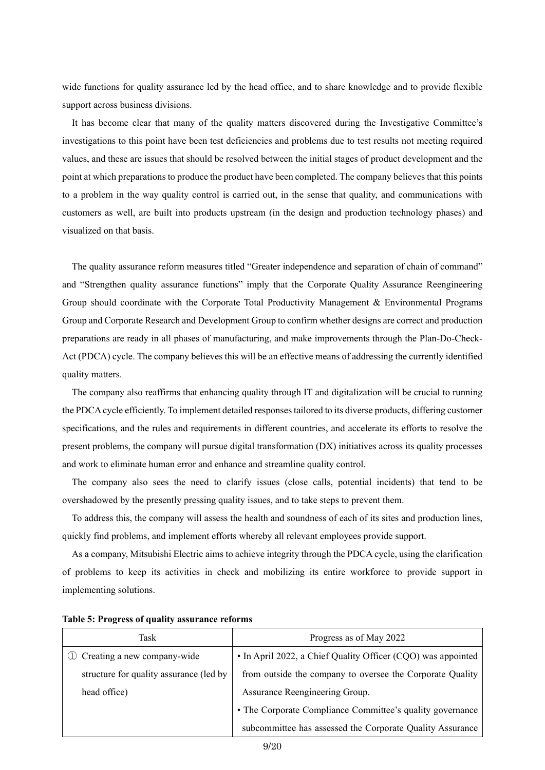wide functions for quality assurance led by the head office, and to share knowledge and to provide flexible support across business divisions.

It has become clear that many of the quality matters discovered during the Investigative Committee's investigations to this point have been test deficiencies and problems due to test results not meeting required values, and these are issues that should be resolved between the initial stages of product development and the point at which preparations to produce the product have been completed. The company believes that this points to a problem in the way quality control is carried out, in the sense that quality, and communications with customers as well, are built into products upstream (in the design and production technology phases) and visualized on that basis.

The quality assurance reform measures titled "Greater independence and separation of chain of command" and "Strengthen quality assurance functions" imply that the Corporate Quality Assurance Reengineering Group should coordinate with the Corporate Total Productivity Management & Environmental Programs Group and Corporate Research and Development Group to confirm whether designs are correct and production preparations are ready in all phases of manufacturing, and make improvements through the Plan-Do-Check-Act (PDCA) cycle. The company believes this will be an effective means of addressing the currently identified quality matters.

The company also reaffirms that enhancing quality through IT and digitalization will be crucial to running the PDCA cycle efficiently. To implement detailed responses tailored to its diverse products, differing customer specifications, and the rules and requirements in different countries, and accelerate its efforts to resolve the present problems, the company will pursue digital transformation (DX) initiatives across its quality processes and work to eliminate human error and enhance and streamline quality control.

The company also sees the need to clarify issues (close calls, potential incidents) that tend to be overshadowed by the presently pressing quality issues, and to take steps to prevent them.

To address this, the company will assess the health and soundness of each of its sites and production lines, quickly find problems, and implement efforts whereby all relevant employees provide support.

As a company, Mitsubishi Electric aims to achieve integrity through the PDCA cycle, using the clarification of problems to keep its activities in check and mobilizing its entire workforce to provide support in implementing solutions.

| Task                                    | Progress as of May 2022                                      |
|-----------------------------------------|--------------------------------------------------------------|
| Creating a new company-wide             | • In April 2022, a Chief Quality Officer (CQO) was appointed |
| structure for quality assurance (led by | from outside the company to oversee the Corporate Quality    |
| head office)                            | Assurance Reengineering Group.                               |
|                                         | • The Corporate Compliance Committee's quality governance    |
|                                         | subcommittee has assessed the Corporate Quality Assurance    |

#### **Table 5: Progress of quality assurance reforms**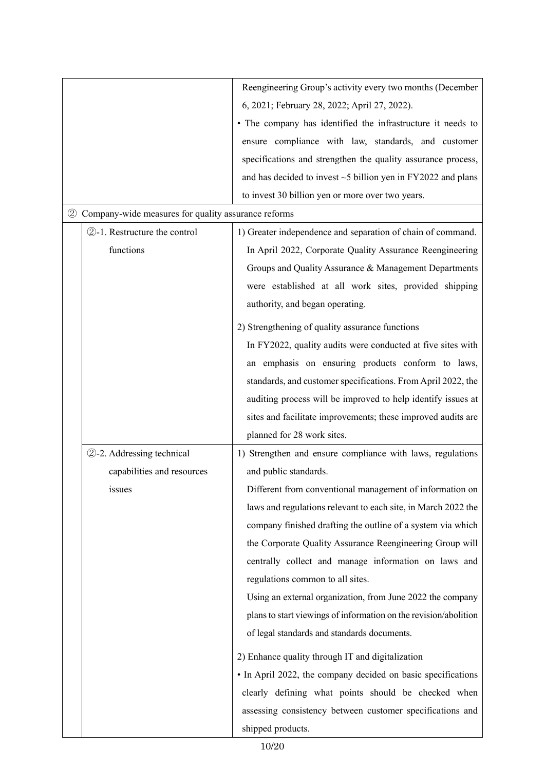|                                                          |                            | Reengineering Group's activity every two months (December          |
|----------------------------------------------------------|----------------------------|--------------------------------------------------------------------|
|                                                          |                            | 6, 2021; February 28, 2022; April 27, 2022).                       |
|                                                          |                            | • The company has identified the infrastructure it needs to        |
|                                                          |                            | ensure compliance with law, standards, and customer                |
|                                                          |                            | specifications and strengthen the quality assurance process,       |
|                                                          |                            | and has decided to invest $\sim$ 5 billion yen in FY2022 and plans |
|                                                          |                            | to invest 30 billion yen or more over two years.                   |
| Company-wide measures for quality assurance reforms<br>2 |                            |                                                                    |
| 2-1. Restructure the control                             |                            | 1) Greater independence and separation of chain of command.        |
|                                                          | functions                  | In April 2022, Corporate Quality Assurance Reengineering           |
|                                                          |                            | Groups and Quality Assurance & Management Departments              |
|                                                          |                            | were established at all work sites, provided shipping              |
|                                                          |                            | authority, and began operating.                                    |
|                                                          |                            |                                                                    |
|                                                          |                            | 2) Strengthening of quality assurance functions                    |
|                                                          |                            | In FY2022, quality audits were conducted at five sites with        |
|                                                          |                            | an emphasis on ensuring products conform to laws,                  |
|                                                          |                            | standards, and customer specifications. From April 2022, the       |
|                                                          |                            | auditing process will be improved to help identify issues at       |
|                                                          |                            | sites and facilitate improvements; these improved audits are       |
|                                                          |                            | planned for 28 work sites.                                         |
|                                                          | 2-2. Addressing technical  | 1) Strengthen and ensure compliance with laws, regulations         |
|                                                          | capabilities and resources | and public standards.                                              |
|                                                          | <i>s</i> sues              | Different from conventional management of information on           |
|                                                          |                            | laws and regulations relevant to each site, in March 2022 the      |
|                                                          |                            | company finished drafting the outline of a system via which        |
|                                                          |                            | the Corporate Quality Assurance Reengineering Group will           |
|                                                          |                            | centrally collect and manage information on laws and               |
|                                                          |                            | regulations common to all sites.                                   |
|                                                          |                            | Using an external organization, from June 2022 the company         |
|                                                          |                            | plans to start viewings of information on the revision/abolition   |
|                                                          |                            | of legal standards and standards documents.                        |
|                                                          |                            | 2) Enhance quality through IT and digitalization                   |
|                                                          |                            | • In April 2022, the company decided on basic specifications       |
|                                                          |                            | clearly defining what points should be checked when                |
|                                                          |                            |                                                                    |
|                                                          |                            | assessing consistency between customer specifications and          |
|                                                          |                            | shipped products.                                                  |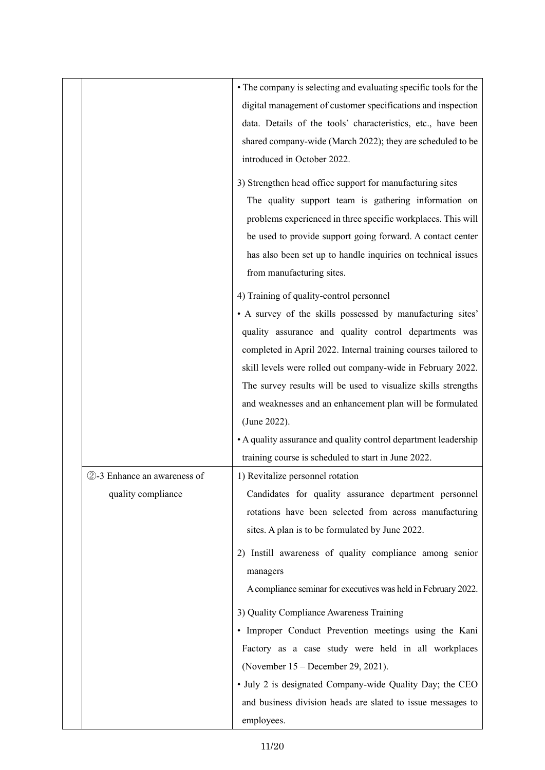|                             | • The company is selecting and evaluating specific tools for the |
|-----------------------------|------------------------------------------------------------------|
|                             | digital management of customer specifications and inspection     |
|                             | data. Details of the tools' characteristics, etc., have been     |
|                             | shared company-wide (March 2022); they are scheduled to be       |
|                             | introduced in October 2022.                                      |
|                             | 3) Strengthen head office support for manufacturing sites        |
|                             | The quality support team is gathering information on             |
|                             | problems experienced in three specific workplaces. This will     |
|                             | be used to provide support going forward. A contact center       |
|                             | has also been set up to handle inquiries on technical issues     |
|                             | from manufacturing sites.                                        |
|                             | 4) Training of quality-control personnel                         |
|                             | • A survey of the skills possessed by manufacturing sites'       |
|                             | quality assurance and quality control departments was            |
|                             | completed in April 2022. Internal training courses tailored to   |
|                             | skill levels were rolled out company-wide in February 2022.      |
|                             | The survey results will be used to visualize skills strengths    |
|                             | and weaknesses and an enhancement plan will be formulated        |
|                             | (June 2022).                                                     |
|                             | • A quality assurance and quality control department leadership  |
|                             | training course is scheduled to start in June 2022.              |
| 2-3 Enhance an awareness of | 1) Revitalize personnel rotation                                 |
| quality compliance          | Candidates for quality assurance department personnel            |
|                             | rotations have been selected from across manufacturing           |
|                             | sites. A plan is to be formulated by June 2022.                  |
|                             | 2) Instill awareness of quality compliance among senior          |
|                             | managers                                                         |
|                             | A compliance seminar for executives was held in February 2022.   |
|                             | 3) Quality Compliance Awareness Training                         |
|                             | · Improper Conduct Prevention meetings using the Kani            |
|                             | Factory as a case study were held in all workplaces              |
|                             | (November 15 – December 29, 2021).                               |
|                             | • July 2 is designated Company-wide Quality Day; the CEO         |
|                             | and business division heads are slated to issue messages to      |
|                             | employees.                                                       |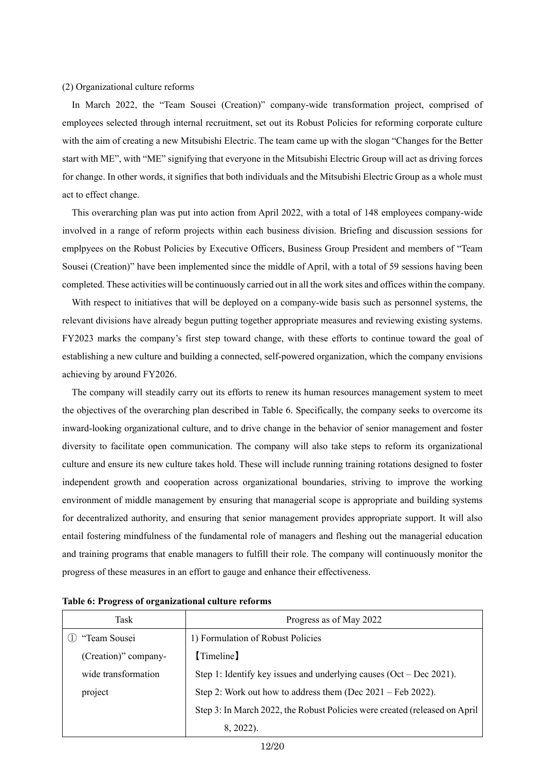#### (2) Organizational culture reforms

In March 2022, the "Team Sousei (Creation)" company-wide transformation project, comprised of employees selected through internal recruitment, set out its Robust Policies for reforming corporate culture with the aim of creating a new Mitsubishi Electric. The team came up with the slogan "Changes for the Better start with ME", with "ME" signifying that everyone in the Mitsubishi Electric Group will act as driving forces for change. In other words, it signifies that both individuals and the Mitsubishi Electric Group as a whole must act to effect change.

This overarching plan was put into action from April 2022, with a total of 148 employees company-wide involved in a range of reform projects within each business division. Briefing and discussion sessions for emplpyees on the Robust Policies by Executive Officers, Business Group President and members of "Team Sousei (Creation)" have been implemented since the middle of April, with a total of 59 sessions having been completed. These activities will be continuously carried out in all the work sites and offices within the company.

With respect to initiatives that will be deployed on a company-wide basis such as personnel systems, the relevant divisions have already begun putting together appropriate measures and reviewing existing systems. FY2023 marks the company's first step toward change, with these efforts to continue toward the goal of establishing a new culture and building a connected, self-powered organization, which the company envisions achieving by around FY2026.

The company will steadily carry out its efforts to renew its human resources management system to meet the objectives of the overarching plan described in Table 6. Specifically, the company seeks to overcome its inward-looking organizational culture, and to drive change in the behavior of senior management and foster diversity to facilitate open communication. The company will also take steps to reform its organizational culture and ensure its new culture takes hold. These will include running training rotations designed to foster independent growth and cooperation across organizational boundaries, striving to improve the working environment of middle management by ensuring that managerial scope is appropriate and building systems for decentralized authority, and ensuring that senior management provides appropriate support. It will also entail fostering mindfulness of the fundamental role of managers and fleshing out the managerial education and training programs that enable managers to fulfill their role. The company will continuously monitor the progress of these measures in an effort to gauge and enhance their effectiveness.

| Task                 | Progress as of May 2022                                                    |
|----------------------|----------------------------------------------------------------------------|
| "Team Sousei         | 1) Formulation of Robust Policies                                          |
| (Creation)" company- | (Timeline)                                                                 |
| wide transformation  | Step 1: Identify key issues and underlying causes $(Oct - Dec 2021)$ .     |
| project              | Step 2: Work out how to address them (Dec $2021$ – Feb 2022).              |
|                      | Step 3: In March 2022, the Robust Policies were created (released on April |
|                      | 8, 2022).                                                                  |

**Table 6: Progress of organizational culture reforms**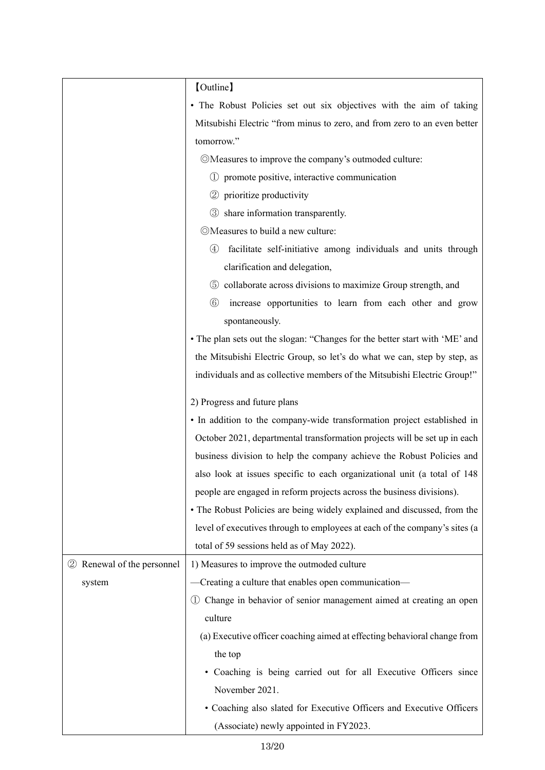|                            | [Outline]                                                                        |  |
|----------------------------|----------------------------------------------------------------------------------|--|
|                            | · The Robust Policies set out six objectives with the aim of taking              |  |
|                            | Mitsubishi Electric "from minus to zero, and from zero to an even better         |  |
|                            | tomorrow."                                                                       |  |
|                            | ©Measures to improve the company's outmoded culture:                             |  |
|                            | 1) promote positive, interactive communication                                   |  |
|                            | 2 prioritize productivity                                                        |  |
|                            | 3 share information transparently.                                               |  |
|                            | ©Measures to build a new culture:                                                |  |
|                            | $^{\circledA}$<br>facilitate self-initiative among individuals and units through |  |
|                            | clarification and delegation,                                                    |  |
|                            | collaborate across divisions to maximize Group strength, and<br>$\circled{5}$    |  |
|                            | $\circled6$<br>increase opportunities to learn from each other and grow          |  |
|                            | spontaneously.                                                                   |  |
|                            | • The plan sets out the slogan: "Changes for the better start with 'ME' and      |  |
|                            | the Mitsubishi Electric Group, so let's do what we can, step by step, as         |  |
|                            | individuals and as collective members of the Mitsubishi Electric Group!"         |  |
|                            | 2) Progress and future plans                                                     |  |
|                            | • In addition to the company-wide transformation project established in          |  |
|                            | October 2021, departmental transformation projects will be set up in each        |  |
|                            | business division to help the company achieve the Robust Policies and            |  |
|                            | also look at issues specific to each organizational unit (a total of 148         |  |
|                            | people are engaged in reform projects across the business divisions).            |  |
|                            | • The Robust Policies are being widely explained and discussed, from the         |  |
|                            | level of executives through to employees at each of the company's sites (a       |  |
|                            | total of 59 sessions held as of May 2022).                                       |  |
| 2 Renewal of the personnel | 1) Measures to improve the outmoded culture                                      |  |
| system                     | Creating a culture that enables open communication-                              |  |
|                            | Change in behavior of senior management aimed at creating an open                |  |
|                            | culture                                                                          |  |
|                            | (a) Executive officer coaching aimed at effecting behavioral change from         |  |
|                            | the top                                                                          |  |
|                            | · Coaching is being carried out for all Executive Officers since                 |  |
|                            | November 2021.                                                                   |  |
|                            | • Coaching also slated for Executive Officers and Executive Officers             |  |
|                            | (Associate) newly appointed in FY2023.                                           |  |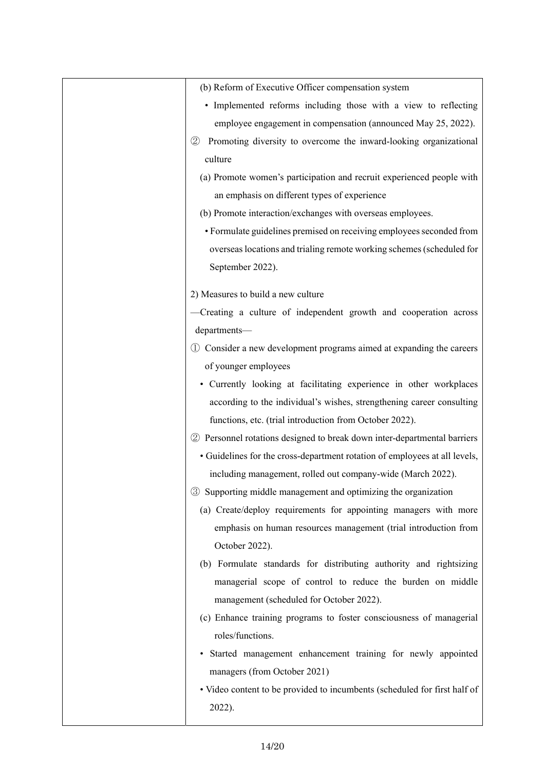| (b) Reform of Executive Officer compensation system                                |
|------------------------------------------------------------------------------------|
| • Implemented reforms including those with a view to reflecting                    |
| employee engagement in compensation (announced May 25, 2022).                      |
| Promoting diversity to overcome the inward-looking organizational<br>$\circled{2}$ |
| culture                                                                            |
| (a) Promote women's participation and recruit experienced people with              |
| an emphasis on different types of experience                                       |
| (b) Promote interaction/exchanges with overseas employees.                         |
| • Formulate guidelines premised on receiving employees seconded from               |
| overseas locations and trialing remote working schemes (scheduled for              |
| September 2022).                                                                   |
|                                                                                    |
| 2) Measures to build a new culture                                                 |
| -Creating a culture of independent growth and cooperation across                   |
| departments-                                                                       |
| 1) Consider a new development programs aimed at expanding the careers              |
| of younger employees                                                               |
| • Currently looking at facilitating experience in other workplaces                 |
| according to the individual's wishes, strengthening career consulting              |
| functions, etc. (trial introduction from October 2022).                            |
| 2 Personnel rotations designed to break down inter-departmental barriers           |
| • Guidelines for the cross-department rotation of employees at all levels,         |
| including management, rolled out company-wide (March 2022).                        |
| Supporting middle management and optimizing the organization<br>$\circled{3}$      |
| (a) Create/deploy requirements for appointing managers with more                   |
| emphasis on human resources management (trial introduction from                    |
| October 2022).                                                                     |
| (b) Formulate standards for distributing authority and rightsizing                 |
| managerial scope of control to reduce the burden on middle                         |
| management (scheduled for October 2022).                                           |
| (c) Enhance training programs to foster consciousness of managerial                |
| roles/functions.                                                                   |
| Started management enhancement training for newly appointed                        |
| managers (from October 2021)                                                       |
| • Video content to be provided to incumbents (scheduled for first half of          |
| 2022).                                                                             |
|                                                                                    |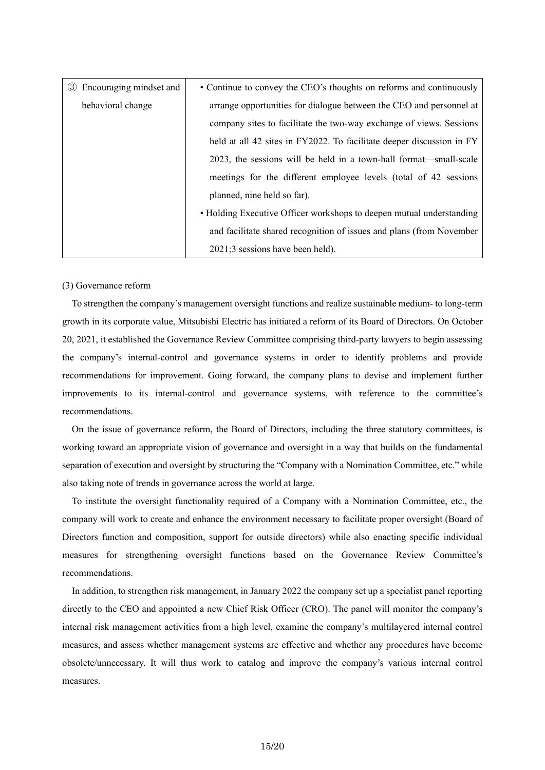| 3 Encouraging mindset and | • Continue to convey the CEO's thoughts on reforms and continuously   |
|---------------------------|-----------------------------------------------------------------------|
| behavioral change         | arrange opportunities for dialogue between the CEO and personnel at   |
|                           | company sites to facilitate the two-way exchange of views. Sessions   |
|                           | held at all 42 sites in FY2022. To facilitate deeper discussion in FY |
|                           | 2023, the sessions will be held in a town-hall format—small-scale     |
|                           | meetings for the different employee levels (total of 42 sessions      |
|                           | planned, nine held so far).                                           |
|                           | • Holding Executive Officer workshops to deepen mutual understanding  |
|                           | and facilitate shared recognition of issues and plans (from November  |
|                           | 2021;3 sessions have been held).                                      |

(3) Governance reform

To strengthen the company's management oversight functions and realize sustainable medium- to long-term growth in its corporate value, Mitsubishi Electric has initiated a reform of its Board of Directors. On October 20, 2021, it established the Governance Review Committee comprising third-party lawyers to begin assessing the company's internal-control and governance systems in order to identify problems and provide recommendations for improvement. Going forward, the company plans to devise and implement further improvements to its internal-control and governance systems, with reference to the committee's recommendations.

On the issue of governance reform, the Board of Directors, including the three statutory committees, is working toward an appropriate vision of governance and oversight in a way that builds on the fundamental separation of execution and oversight by structuring the "Company with a Nomination Committee, etc." while also taking note of trends in governance across the world at large.

To institute the oversight functionality required of a Company with a Nomination Committee, etc., the company will work to create and enhance the environment necessary to facilitate proper oversight (Board of Directors function and composition, support for outside directors) while also enacting specific individual measures for strengthening oversight functions based on the Governance Review Committee's recommendations.

In addition, to strengthen risk management, in January 2022 the company set up a specialist panel reporting directly to the CEO and appointed a new Chief Risk Officer (CRO). The panel will monitor the company's internal risk management activities from a high level, examine the company's multilayered internal control measures, and assess whether management systems are effective and whether any procedures have become obsolete/unnecessary. It will thus work to catalog and improve the company's various internal control measures.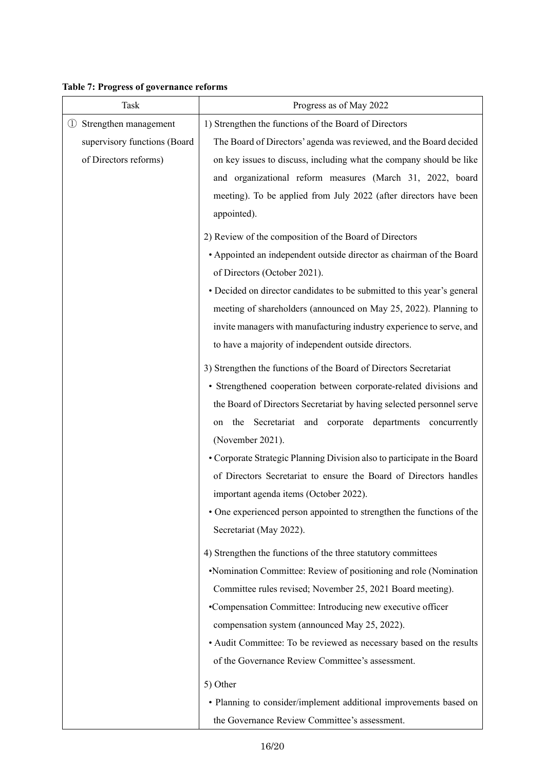**Table 7: Progress of governance reforms** 

 $\mathsf{l}$ 

| Task                         | Progress as of May 2022                                                  |
|------------------------------|--------------------------------------------------------------------------|
| 1 Strengthen management      | 1) Strengthen the functions of the Board of Directors                    |
| supervisory functions (Board | The Board of Directors' agenda was reviewed, and the Board decided       |
| of Directors reforms)        | on key issues to discuss, including what the company should be like      |
|                              | and organizational reform measures (March 31, 2022, board                |
|                              | meeting). To be applied from July 2022 (after directors have been        |
|                              | appointed).                                                              |
|                              | 2) Review of the composition of the Board of Directors                   |
|                              | • Appointed an independent outside director as chairman of the Board     |
|                              | of Directors (October 2021).                                             |
|                              | • Decided on director candidates to be submitted to this year's general  |
|                              | meeting of shareholders (announced on May 25, 2022). Planning to         |
|                              | invite managers with manufacturing industry experience to serve, and     |
|                              | to have a majority of independent outside directors.                     |
|                              | 3) Strengthen the functions of the Board of Directors Secretariat        |
|                              | • Strengthened cooperation between corporate-related divisions and       |
|                              | the Board of Directors Secretariat by having selected personnel serve    |
|                              | the Secretariat and corporate departments concurrently<br>on             |
|                              | (November 2021).                                                         |
|                              | • Corporate Strategic Planning Division also to participate in the Board |
|                              | of Directors Secretariat to ensure the Board of Directors handles        |
|                              | important agenda items (October 2022).                                   |
|                              | • One experienced person appointed to strengthen the functions of the    |
|                              | Secretariat (May 2022).                                                  |
|                              | 4) Strengthen the functions of the three statutory committees            |
|                              | •Nomination Committee: Review of positioning and role (Nomination        |
|                              | Committee rules revised; November 25, 2021 Board meeting).               |
|                              | •Compensation Committee: Introducing new executive officer               |
|                              | compensation system (announced May 25, 2022).                            |
|                              | • Audit Committee: To be reviewed as necessary based on the results      |
|                              | of the Governance Review Committee's assessment.                         |
|                              | 5) Other                                                                 |
|                              | • Planning to consider/implement additional improvements based on        |
|                              | the Governance Review Committee's assessment.                            |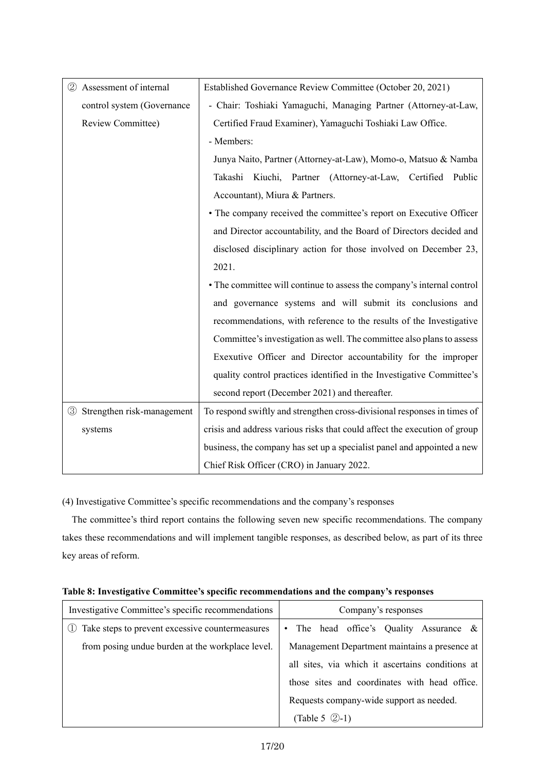| 2 Assessment of internal                                                                      | Established Governance Review Committee (October 20, 2021)                |  |
|-----------------------------------------------------------------------------------------------|---------------------------------------------------------------------------|--|
| - Chair: Toshiaki Yamaguchi, Managing Partner (Attorney-at-Law,<br>control system (Governance |                                                                           |  |
| Review Committee)                                                                             | Certified Fraud Examiner), Yamaguchi Toshiaki Law Office.                 |  |
|                                                                                               | - Members:                                                                |  |
|                                                                                               | Junya Naito, Partner (Attorney-at-Law), Momo-o, Matsuo & Namba            |  |
|                                                                                               | Takashi Kiuchi, Partner (Attorney-at-Law, Certified Public                |  |
|                                                                                               | Accountant), Miura & Partners.                                            |  |
|                                                                                               | • The company received the committee's report on Executive Officer        |  |
|                                                                                               | and Director accountability, and the Board of Directors decided and       |  |
|                                                                                               | disclosed disciplinary action for those involved on December 23,          |  |
|                                                                                               | 2021.                                                                     |  |
|                                                                                               | • The committee will continue to assess the company's internal control    |  |
|                                                                                               | and governance systems and will submit its conclusions and                |  |
|                                                                                               | recommendations, with reference to the results of the Investigative       |  |
|                                                                                               | Committee's investigation as well. The committee also plans to assess     |  |
|                                                                                               | Exexutive Officer and Director accountability for the improper            |  |
|                                                                                               | quality control practices identified in the Investigative Committee's     |  |
|                                                                                               | second report (December 2021) and thereafter.                             |  |
| 3 Strengthen risk-management                                                                  | To respond swiftly and strengthen cross-divisional responses in times of  |  |
| systems                                                                                       | crisis and address various risks that could affect the execution of group |  |
|                                                                                               | business, the company has set up a specialist panel and appointed a new   |  |
|                                                                                               | Chief Risk Officer (CRO) in January 2022.                                 |  |

(4) Investigative Committee's specific recommendations and the company's responses

The committee's third report contains the following seven new specific recommendations. The company takes these recommendations and will implement tangible responses, as described below, as part of its three key areas of reform.

| Investigative Committee's specific recommendations | Company's responses                              |
|----------------------------------------------------|--------------------------------------------------|
| Take steps to prevent excessive countermeasures    | • The head office's Quality Assurance $\&$       |
| from posing undue burden at the workplace level.   | Management Department maintains a presence at    |
|                                                    | all sites, via which it ascertains conditions at |
|                                                    | those sites and coordinates with head office.    |
|                                                    | Requests company-wide support as needed.         |
|                                                    | (Table 5 $(2)-1$ )                               |

**Table 8: Investigative Committee's specific recommendations and the company's responses**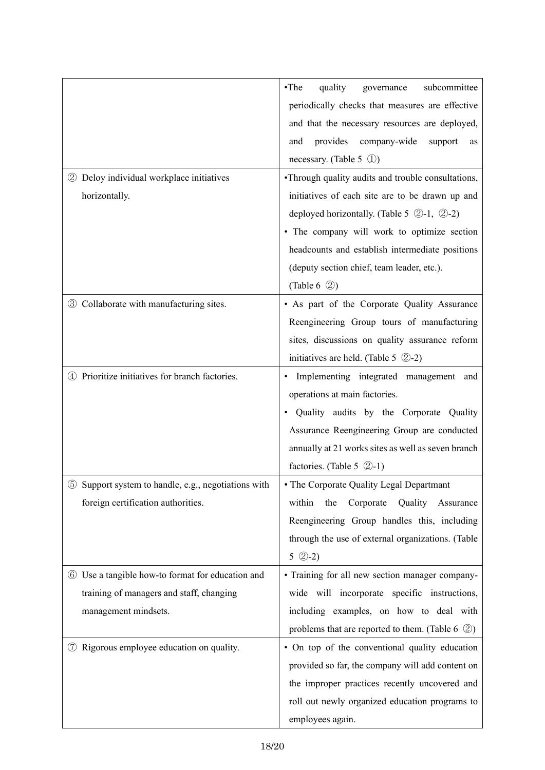|                                                     | $\cdot$ The<br>quality<br>subcommittee<br>governance         |
|-----------------------------------------------------|--------------------------------------------------------------|
|                                                     | periodically checks that measures are effective              |
|                                                     | and that the necessary resources are deployed,               |
|                                                     | provides<br>company-wide<br>and<br>support<br>as             |
|                                                     | necessary. (Table 5 $\circ$ 1)                               |
| 2 Deloy individual workplace initiatives            | •Through quality audits and trouble consultations,           |
| horizontally.                                       | initiatives of each site are to be drawn up and              |
|                                                     | deployed horizontally. (Table 5 $(2-1, 2-2)$ )               |
|                                                     | · The company will work to optimize section                  |
|                                                     | headcounts and establish intermediate positions              |
|                                                     | (deputy section chief, team leader, etc.).                   |
|                                                     | (Table 6 $\circled{2}$ )                                     |
| 3 Collaborate with manufacturing sites.             | • As part of the Corporate Quality Assurance                 |
|                                                     | Reengineering Group tours of manufacturing                   |
|                                                     | sites, discussions on quality assurance reform               |
|                                                     | initiatives are held. (Table 5 $(2)-2$ )                     |
| Prioritize initiatives for branch factories.<br>(4) | Implementing integrated management and                       |
|                                                     | operations at main factories.                                |
|                                                     | Quality audits by the Corporate Quality                      |
|                                                     | Assurance Reengineering Group are conducted                  |
|                                                     | annually at 21 works sites as well as seven branch           |
|                                                     | factories. (Table 5 $(2-1)$ )                                |
| 5 Support system to handle, e.g., negotiations with | • The Corporate Quality Legal Departmant                     |
| foreign certification authorities.                  | Quality Assurance<br>within<br>Corporate<br>the              |
|                                                     | Reengineering Group handles this, including                  |
|                                                     | through the use of external organizations. (Table            |
|                                                     | $5 \text{ } (2-2)$                                           |
| 6 Use a tangible how-to format for education and    | • Training for all new section manager company-              |
| training of managers and staff, changing            | wide will incorporate specific instructions,                 |
| management mindsets.                                | including examples, on how to deal with                      |
|                                                     | problems that are reported to them. (Table 6 $\circled{2}$ ) |
| Rigorous employee education on quality.<br>(7)      | • On top of the conventional quality education               |
|                                                     | provided so far, the company will add content on             |
|                                                     | the improper practices recently uncovered and                |
|                                                     | roll out newly organized education programs to               |
|                                                     | employees again.                                             |
|                                                     |                                                              |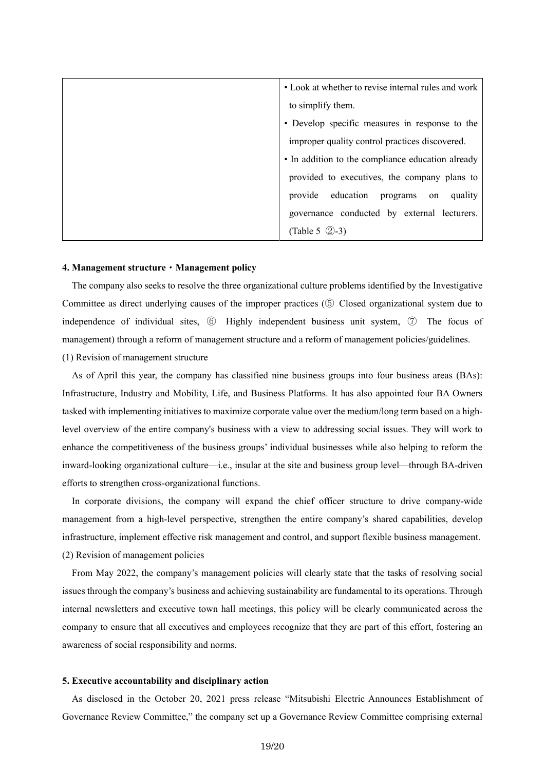| • Look at whether to revise internal rules and work |
|-----------------------------------------------------|
|                                                     |
| to simplify them.                                   |
| • Develop specific measures in response to the      |
| improper quality control practices discovered.      |
| • In addition to the compliance education already   |
| provided to executives, the company plans to        |
| provide education programs on<br>quality            |
| governance conducted by external lecturers.         |
| (Table 5 $(2)-3$ )                                  |

#### **4. Management structure**・**Management policy**

The company also seeks to resolve the three organizational culture problems identified by the Investigative Committee as direct underlying causes of the improper practices (⑤ Closed organizational system due to independence of individual sites, ⑥ Highly independent business unit system, ⑦ The focus of management) through a reform of management structure and a reform of management policies/guidelines.

(1) Revision of management structure

As of April this year, the company has classified nine business groups into four business areas (BAs): Infrastructure, Industry and Mobility, Life, and Business Platforms. It has also appointed four BA Owners tasked with implementing initiatives to maximize corporate value over the medium/long term based on a highlevel overview of the entire company's business with a view to addressing social issues. They will work to enhance the competitiveness of the business groups' individual businesses while also helping to reform the inward-looking organizational culture—i.e., insular at the site and business group level—through BA-driven efforts to strengthen cross-organizational functions.

In corporate divisions, the company will expand the chief officer structure to drive company-wide management from a high-level perspective, strengthen the entire company's shared capabilities, develop infrastructure, implement effective risk management and control, and support flexible business management. (2) Revision of management policies

From May 2022, the company's management policies will clearly state that the tasks of resolving social issues through the company's business and achieving sustainability are fundamental to its operations. Through internal newsletters and executive town hall meetings, this policy will be clearly communicated across the company to ensure that all executives and employees recognize that they are part of this effort, fostering an awareness of social responsibility and norms.

## **5. Executive accountability and disciplinary action**

As disclosed in the October 20, 2021 press release "Mitsubishi Electric Announces Establishment of Governance Review Committee," the company set up a Governance Review Committee comprising external